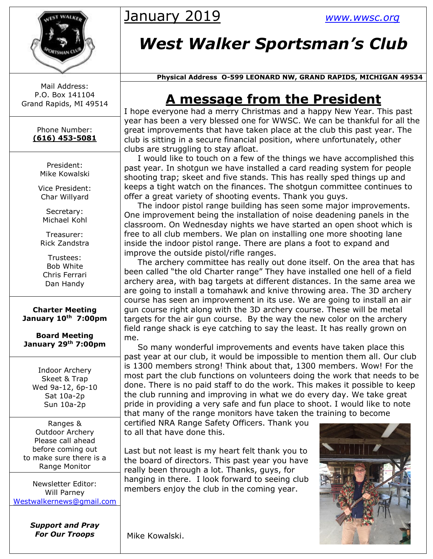

Mail Address: P.O. Box 141104 Grand Rapids, MI 49514

> Phone Number: **(616) 453-5081**

> > President: Mike Kowalski

Vice President: Char Willyard

Secretary: Michael Kohl

Treasurer: Rick Zandstra

Trustees: Bob White Chris Ferrari Dan Handy

**Charter Meeting January 10th 7:00pm**

**Board Meeting January 29th 7:00pm**

> Indoor Archery Skeet & Trap Wed 9a-12, 6p-10 Sat 10a-2p Sun 10a-2p

Ranges & Outdoor Archery Please call ahead before coming out to make sure there is a Range Monitor

Newsletter Editor: Will Parney [Westwalkernews@gmail.com](mailto:Westwalkernews@gmail.com)

> *Support and Pray For Our Troops*

## January 2019 *[www.wwsc.org](http://www.wwsc.org/)*

# *West Walker Sportsman's Club*

 **Physical Address O-599 LEONARD NW, GRAND RAPIDS, MICHIGAN 49534**

## **A message from the President**

I hope everyone had a merry Christmas and a happy New Year. This past year has been a very blessed one for WWSC. We can be thankful for all the great improvements that have taken place at the club this past year. The club is sitting in a secure financial position, where unfortunately, other clubs are struggling to stay afloat.

 I would like to touch on a few of the things we have accomplished this past year. In shotgun we have installed a card reading system for people shooting trap; skeet and five stands. This has really sped things up and keeps a tight watch on the finances. The shotgun committee continues to offer a great variety of shooting events. Thank you guys.

 The indoor pistol range building has seen some major improvements. One improvement being the installation of noise deadening panels in the classroom. On Wednesday nights we have started an open shoot which is free to all club members. We plan on installing one more shooting lane inside the indoor pistol range. There are plans a foot to expand and improve the outside pistol/rifle ranges.

 The archery committee has really out done itself. On the area that has been called "the old Charter range" They have installed one hell of a field archery area, with bag targets at different distances. In the same area we are going to install a tomahawk and knive throwing area. The 3D archery course has seen an improvement in its use. We are going to install an air gun course right along with the 3D archery course. These will be metal targets for the air gun course. By the way the new color on the archery field range shack is eye catching to say the least. It has really grown on me.

 So many wonderful improvements and events have taken place this past year at our club, it would be impossible to mention them all. Our club is 1300 members strong! Think about that, 1300 members. Wow! For the most part the club functions on volunteers doing the work that needs to be done. There is no paid staff to do the work. This makes it possible to keep the club running and improving in what we do every day. We take great pride in providing a very safe and fun place to shoot. I would like to note that many of the range monitors have taken the training to become

certified NRA Range Safety Officers. Thank you to all that have done this.

Last but not least is my heart felt thank you to the board of directors. This past year you have really been through a lot. Thanks, guys, for hanging in there. I look forward to seeing club members enjoy the club in the coming year.



Mike Kowalski.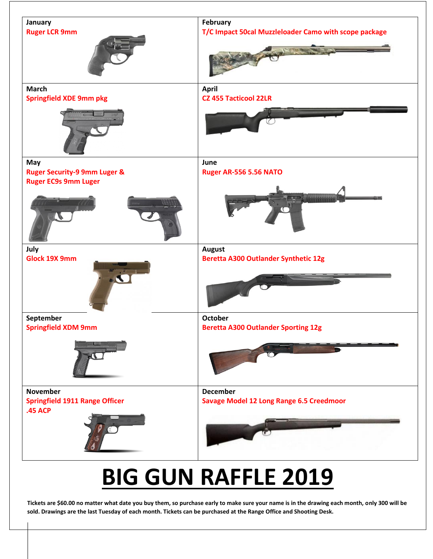

# **BIG GUN RAFFLE 2019**

**Tickets are \$60.00 no matter what date you buy them, so purchase early to make sure your name is in the drawing each month, only 300 will be sold. Drawings are the last Tuesday of each month. Tickets can be purchased at the Range Office and Shooting Desk.**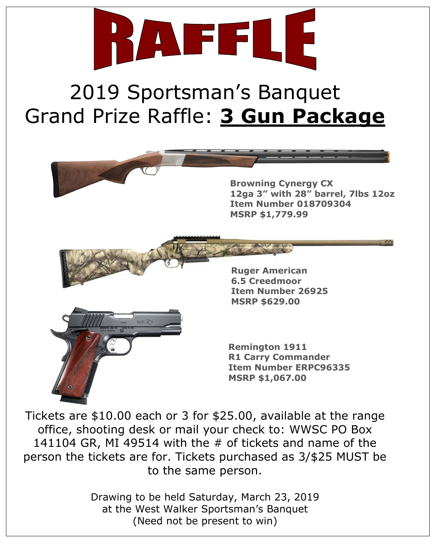

# 2019 Sportsman's Banquet Grand Prize Raffle: **3 Gun Package**



Tickets are \$10.00 each or 3 for \$25.00, available at the range office, shooting desk or mail your check to: WWSC PO Box 141104 GR, MI 49514 with the # of tickets and name of the person the tickets are for. Tickets purchased as 3/\$25 MUST be to the same person.

> Drawing to be held Saturday, March 23, 2019 at the West Walker Sportsman's Banquet (Need not be present to win)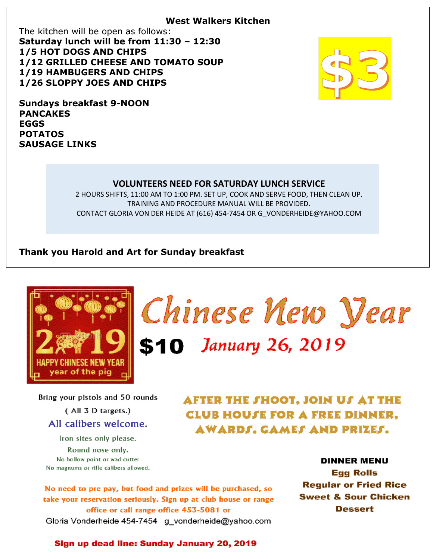#### **West Walkers Kitchen**

The kitchen will be open as follows: **Saturday lunch will be from 11:30 – 12:30 1/5 HOT DOGS AND CHIPS 1/12 GRILLED CHEESE AND TOMATO SOUP 1/19 HAMBUGERS AND CHIPS 1/26 SLOPPY JOES AND CHIPS**



**Sundays breakfast 9-NOON PANCAKES EGGS POTATOS SAUSAGE LINKS**

#### **VOLUNTEERS NEED FOR SATURDAY LUNCH SERVICE**

2 HOURS SHIFTS, 11:00 AM TO 1:00 PM. SET UP, COOK AND SERVE FOOD, THEN CLEAN UP. TRAINING AND PROCEDURE MANUAL WILL BE PROVIDED. CONTACT GLORIA VON DER HEIDE AT (616) 454-7454 O[R G\\_VONDERHEIDE@YAHOO.COM](mailto:g_vonderheide@yahoo.coM)

#### **Thank you Harold and Art for Sunday breakfast**



Chinese New Year \$10 January 26, 2019

Bring your pistols and 50 rounds (All 3 D targets.) All calibers welcome. Iron sites only please.

Round nose only. No hollow point or wad cutter No magnums or rifle calibers allowed. AFTER THE SHOOT. JOIN US AT THE **CLUB HOUSE FOR A FREE DINNER.** AWARDS. GAMES AND PRIZES.

No need to pre pay, but food and prizes will be purchased, so take your reservation seriously. Sign up at club house or range office or call range office 453-5081 or Gloria Vonderheide 454-7454 g\_vonderheide@yahoo.com

**DINNER MENU Egg Rolls Regular or Fried Rice Sweet & Sour Chicken** Dessert

#### Sign up dead line: Sunday January 20, 2019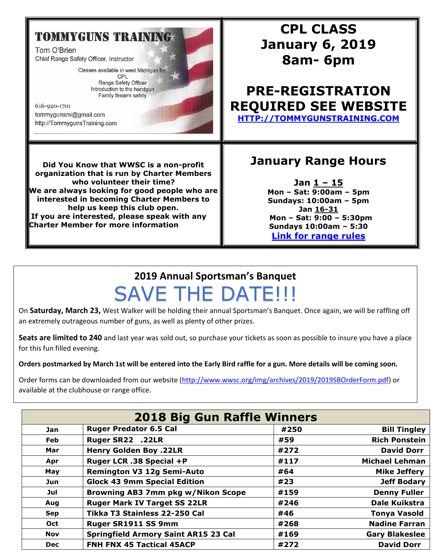## **TOMMYGUNS TRAINING**

Tom O'Brien Chief Range Safety Officer, Instructor

> Classes available in west Michigan for: CPL Range Safety Officer Introduction to the handgun

Family firearm safety

616-920-1701 tommygunsmi@gmail.com http://TommygunsTraining.com

## **CPL CLASS January 6, 2019 8am- 6pm**

### **PRE-REGISTRATION REQUIRED SEE WEBSITE [HTTP://TOMMYGUNSTRAINING.COM](http://tommygunstraining.com/)**

**Did You Know that WWSC is a non-profit organization that is run by Charter Members who volunteer their time? We are always looking for good people who are interested in becoming Charter Members to help us keep this club open. If you are interested, please speak with any Charter Member for more information**

### **January Range Hours**

**Jan 1 – 15 Mon – Sat: 9:00am – 5pm Sundays: 10:00am – 5pm Jan 16-31 Mon – Sat: 9:00 – 5:30pm Sundays 10:00am – 5:30 [Link for range rules](http://www.wwsc.org/img/ranges/RangeRules.pdf)**

## **2019 Annual Sportsman's Banquet** SAVE THE DATE!!!

On **Saturday, March 23,** West Walker will be holding their annual Sportsman's Banquet. Once again, we will be raffling off an extremely outrageous number of guns, as well as plenty of other prizes.

**Seats are limited to 240** and last year was sold out, so purchase your tickets as soon as possible to insure you have a place for this fun filled evening.

**Orders postmarked by March 1st will be entered into the Early Bird raffle for a gun. More details will be coming soon.**

Order forms can be downloaded from our website [\(http://www.wwsc.org/img/archives/2019/2019SBOrderForm.pdf\)](http://www.wwsc.org/img/archives/2019/2019SBOrderForm.pdf) or available at the clubhouse or range office.

| <b>2018 Big Gun Raffle Winners</b> |                                             |      |                       |  |  |  |  |
|------------------------------------|---------------------------------------------|------|-----------------------|--|--|--|--|
| <b>Jan</b>                         | <b>Ruger Predator 6.5 Cal</b>               | #250 | <b>Bill Tingley</b>   |  |  |  |  |
| <b>Feb</b>                         | Ruger SR22 .22LR                            | #59  | <b>Rich Ponstein</b>  |  |  |  |  |
| Mar                                | <b>Henry Golden Boy .22LR</b>               | #272 | <b>David Dorr</b>     |  |  |  |  |
| Apr                                | Ruger LCR .38 Special +P                    | #117 | <b>Michael Lehman</b> |  |  |  |  |
| May                                | <b>Remington V3 12g Semi-Auto</b>           | #64  | <b>Mike Jeffery</b>   |  |  |  |  |
| Jun                                | <b>Glock 43 9mm Special Edition</b>         | #23  | <b>Jeff Bodary</b>    |  |  |  |  |
| Jul                                | <b>Browning AB3 7mm pkg w/Nikon Scope</b>   | #159 | <b>Denny Fuller</b>   |  |  |  |  |
| Aug                                | <b>Ruger Mark IV Target SS 22LR</b>         | #246 | <b>Dale Kuikstra</b>  |  |  |  |  |
| <b>Sep</b>                         | Tikka T3 Stainless 22-250 Cal               | #46  | <b>Tonya Vasold</b>   |  |  |  |  |
| <b>Oct</b>                         | Ruger SR1911 SS 9mm                         | #268 | <b>Nadine Farran</b>  |  |  |  |  |
| <b>Nov</b>                         | <b>Springfield Armory Saint AR15 23 Cal</b> | #169 | <b>Gary Blakeslee</b> |  |  |  |  |
| <b>Dec</b>                         | <b>FNH FNX 45 Tactical 45ACP</b>            | #272 | <b>David Dorr</b>     |  |  |  |  |